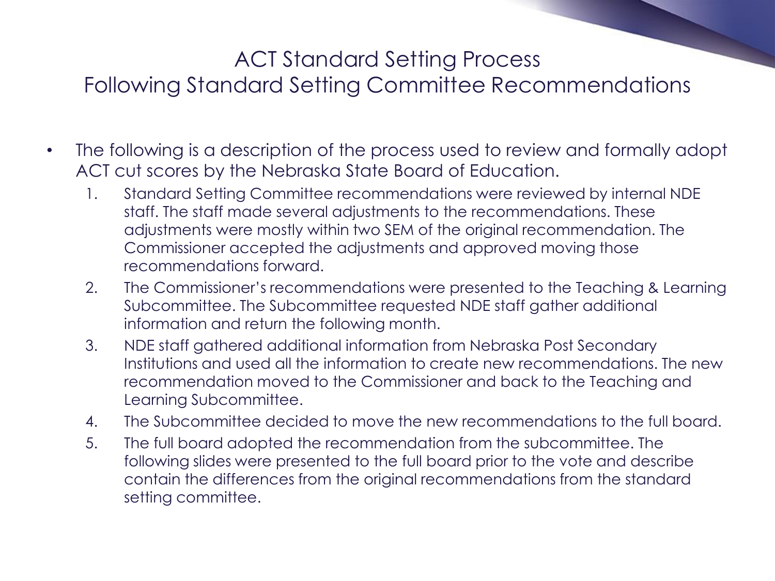### ACT Standard Setting Process

### Following Standard Setting Committee Recommendations

- The following is a description of the process used to review and formally adopt ACT cut scores by the Nebraska State Board of Education.
	- 1. Standard Setting Committee recommendations were reviewed by internal NDE staff. The staff made several adjustments to the recommendations. These adjustments were mostly within two SEM of the original recommendation. The Commissioner accepted the adjustments and approved moving those recommendations forward.
	- 2. The Commissioner's recommendations were presented to the Teaching & Learning Subcommittee. The Subcommittee requested NDE staff gather additional information and return the following month.
	- 3. NDE staff gathered additional information from Nebraska Post Secondary Institutions and used all the information to create new recommendations. The new recommendation moved to the Commissioner and back to the Teaching and Learning Subcommittee.
	- 4. The Subcommittee decided to move the new recommendations to the full board.
	- 5. The full board adopted the recommendation from the subcommittee. The following slides were presented to the full board prior to the vote and describe contain the differences from the original recommendations from the standard setting committee.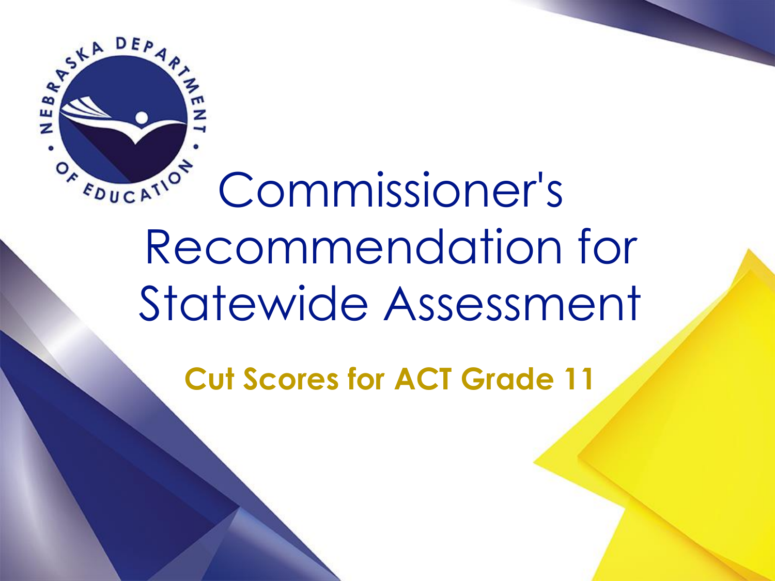

# Commissioner's Recommendation for Statewide Assessment

**Cut Scores for ACT Grade 11**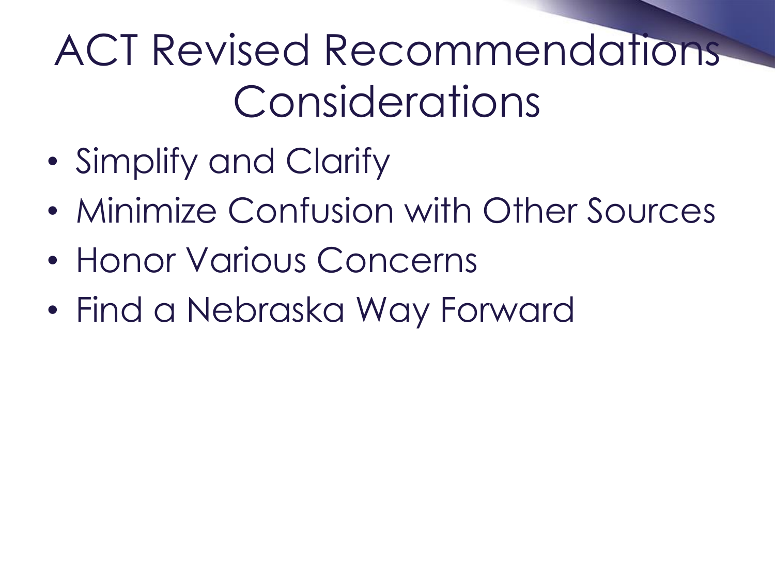### ACT Revised Recommendations Considerations

- Simplify and Clarify
- Minimize Confusion with Other Sources
- Honor Various Concerns
- Find a Nebraska Way Forward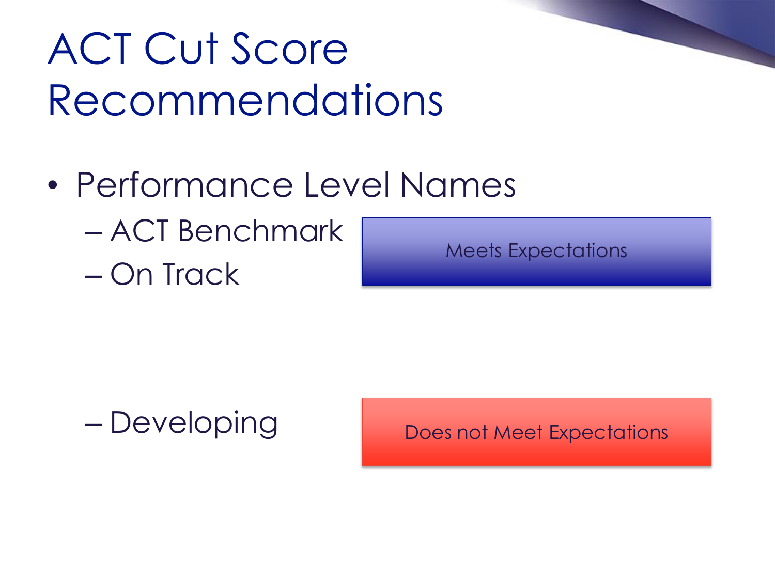## ACT Cut Score Recommendations

- Performance Level Names
	- ACT Benchmark
	- On Track

Meets Expectations

– Developing

Does not Meet Expectations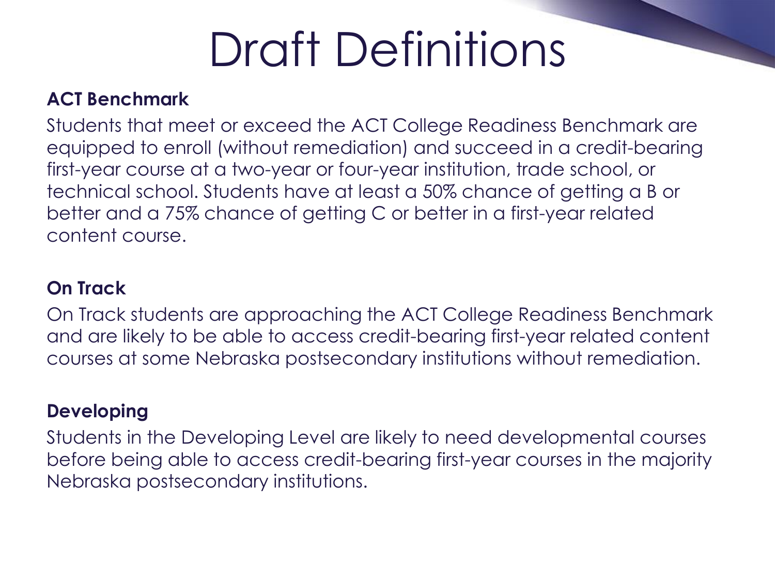# Draft Definitions

#### **ACT Benchmark**

Students that meet or exceed the ACT College Readiness Benchmark are equipped to enroll (without remediation) and succeed in a credit-bearing first-year course at a two-year or four-year institution, trade school, or technical school. Students have at least a 50% chance of getting a B or better and a 75% chance of getting C or better in a first-year related content course.

#### **On Track**

On Track students are approaching the ACT College Readiness Benchmark and are likely to be able to access credit-bearing first-year related content courses at some Nebraska postsecondary institutions without remediation.

#### **Developing**

Students in the Developing Level are likely to need developmental courses before being able to access credit-bearing first-year courses in the majority Nebraska postsecondary institutions.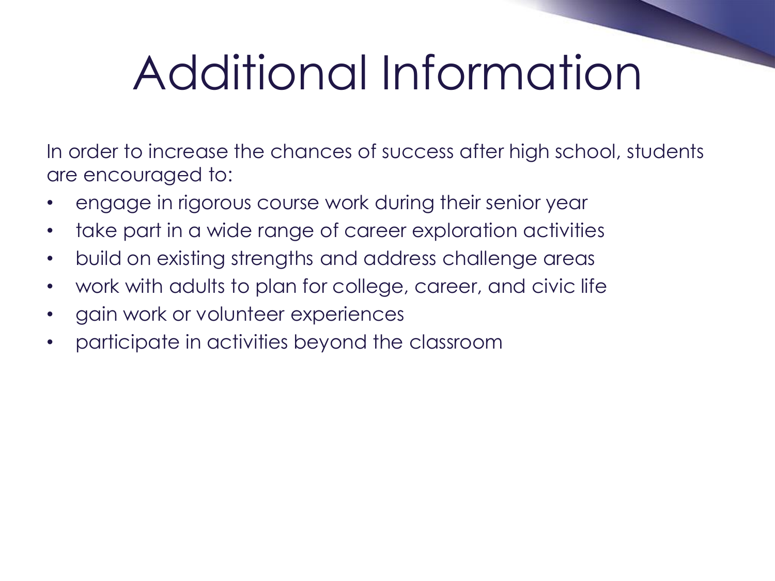# Additional Information

In order to increase the chances of success after high school, students are encouraged to:

- engage in rigorous course work during their senior year
- take part in a wide range of career exploration activities
- build on existing strengths and address challenge areas
- work with adults to plan for college, career, and civic life
- gain work or volunteer experiences
- participate in activities beyond the classroom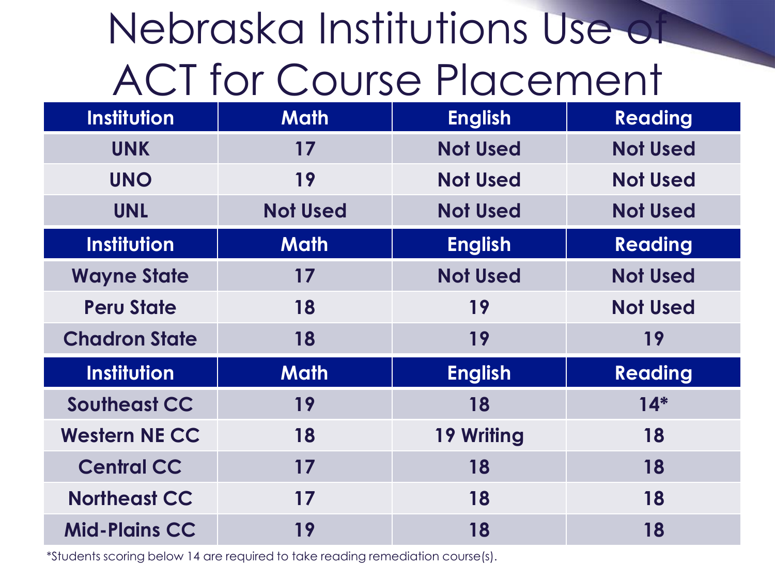## Nebraska Institutions Use of ACT for Course Placement

| <b>Institution</b>   | <b>Math</b>     | <b>English</b>    | <b>Reading</b>  |
|----------------------|-----------------|-------------------|-----------------|
| <b>UNK</b>           | 17              | <b>Not Used</b>   | <b>Not Used</b> |
| <b>UNO</b>           | 19              | <b>Not Used</b>   | <b>Not Used</b> |
| <b>UNL</b>           | <b>Not Used</b> | <b>Not Used</b>   | <b>Not Used</b> |
| <b>Institution</b>   | <b>Math</b>     | <b>English</b>    | <b>Reading</b>  |
| <b>Wayne State</b>   | 17              | <b>Not Used</b>   | <b>Not Used</b> |
| <b>Peru State</b>    | 18              | 19                | <b>Not Used</b> |
|                      |                 |                   |                 |
| <b>Chadron State</b> | 18              | 19                | 19              |
| <b>Institution</b>   | <b>Math</b>     | <b>English</b>    | <b>Reading</b>  |
| <b>Southeast CC</b>  | 19              | 18                | $14*$           |
| <b>Western NE CC</b> | 18              | <b>19 Writing</b> | 18              |
| <b>Central CC</b>    | 17              | 18                | 18              |
| <b>Northeast CC</b>  | 17              | 18                | 18              |

\*Students scoring below 14 are required to take reading remediation course(s).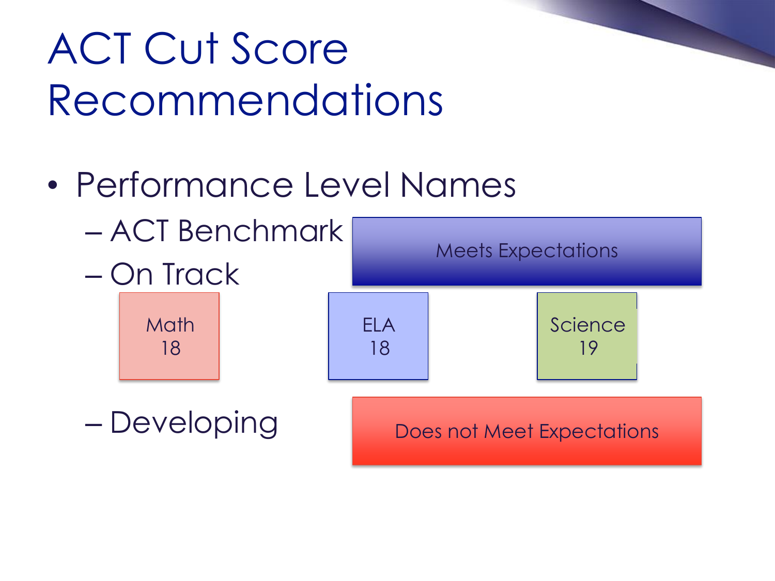## ACT Cut Score Recommendations

• Performance Level Names